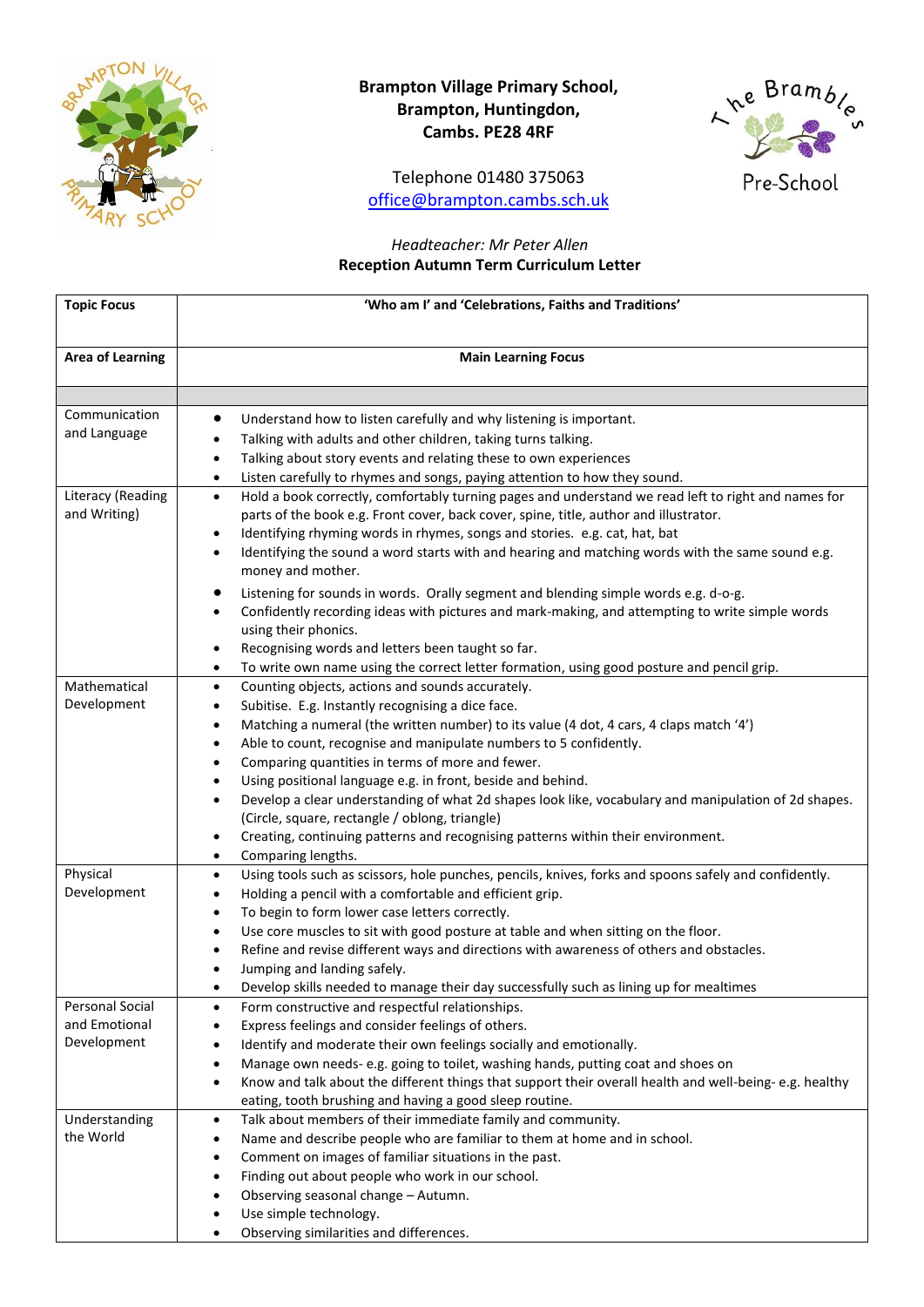

# **Brampton Village Primary School, Brampton, Huntingdon, Cambs. PE28 4RF**

Telephone 01480 375063 [office@brampton.cambs.sch.uk](mailto:office@brampton.cambs.sch.uk)



## *Headteacher: Mr Peter Allen* **Reception Autumn Term Curriculum Letter**

| <b>Topic Focus</b>      | 'Who am I' and 'Celebrations, Faiths and Traditions'                                                                |
|-------------------------|---------------------------------------------------------------------------------------------------------------------|
|                         |                                                                                                                     |
| <b>Area of Learning</b> | <b>Main Learning Focus</b>                                                                                          |
|                         |                                                                                                                     |
|                         |                                                                                                                     |
| Communication           | Understand how to listen carefully and why listening is important.<br>$\bullet$                                     |
| and Language            | Talking with adults and other children, taking turns talking.                                                       |
|                         | Talking about story events and relating these to own experiences<br>٠                                               |
|                         | Listen carefully to rhymes and songs, paying attention to how they sound.<br>$\bullet$                              |
| Literacy (Reading       | Hold a book correctly, comfortably turning pages and understand we read left to right and names for<br>$\bullet$    |
| and Writing)            | parts of the book e.g. Front cover, back cover, spine, title, author and illustrator.                               |
|                         | Identifying rhyming words in rhymes, songs and stories. e.g. cat, hat, bat<br>٠                                     |
|                         | Identifying the sound a word starts with and hearing and matching words with the same sound e.g.<br>$\bullet$       |
|                         | money and mother.                                                                                                   |
|                         | Listening for sounds in words. Orally segment and blending simple words e.g. d-o-g.                                 |
|                         | Confidently recording ideas with pictures and mark-making, and attempting to write simple words                     |
|                         | using their phonics.                                                                                                |
|                         | Recognising words and letters been taught so far.<br>٠                                                              |
|                         | To write own name using the correct letter formation, using good posture and pencil grip.<br>٠                      |
| Mathematical            | Counting objects, actions and sounds accurately.<br>$\bullet$                                                       |
| Development             | Subitise. E.g. Instantly recognising a dice face.<br>٠                                                              |
|                         | Matching a numeral (the written number) to its value (4 dot, 4 cars, 4 claps match '4')<br>٠                        |
|                         | Able to count, recognise and manipulate numbers to 5 confidently.<br>٠                                              |
|                         | Comparing quantities in terms of more and fewer.<br>٠                                                               |
|                         | Using positional language e.g. in front, beside and behind.<br>٠                                                    |
|                         | Develop a clear understanding of what 2d shapes look like, vocabulary and manipulation of 2d shapes.<br>$\bullet$   |
|                         | (Circle, square, rectangle / oblong, triangle)                                                                      |
|                         | Creating, continuing patterns and recognising patterns within their environment.<br>٠                               |
|                         | Comparing lengths.<br>$\bullet$                                                                                     |
| Physical                | Using tools such as scissors, hole punches, pencils, knives, forks and spoons safely and confidently.<br>$\bullet$  |
| Development             | Holding a pencil with a comfortable and efficient grip.<br>٠                                                        |
|                         | To begin to form lower case letters correctly.<br>٠                                                                 |
|                         | Use core muscles to sit with good posture at table and when sitting on the floor.                                   |
|                         | Refine and revise different ways and directions with awareness of others and obstacles.                             |
|                         | Jumping and landing safely.                                                                                         |
|                         | Develop skills needed to manage their day successfully such as lining up for mealtimes                              |
| <b>Personal Social</b>  | Form constructive and respectful relationships.<br>$\bullet$                                                        |
| and Emotional           | Express feelings and consider feelings of others.<br>$\bullet$                                                      |
| Development             | Identify and moderate their own feelings socially and emotionally.                                                  |
|                         | Manage own needs-e.g. going to toilet, washing hands, putting coat and shoes on<br>٠                                |
|                         | Know and talk about the different things that support their overall health and well-being-e.g. healthy<br>$\bullet$ |
|                         | eating, tooth brushing and having a good sleep routine.                                                             |
| Understanding           | Talk about members of their immediate family and community.<br>٠                                                    |
| the World               | Name and describe people who are familiar to them at home and in school.<br>٠                                       |
|                         | Comment on images of familiar situations in the past.<br>٠                                                          |
|                         | Finding out about people who work in our school.<br>٠                                                               |
|                         | Observing seasonal change - Autumn.<br>٠                                                                            |
|                         | Use simple technology.                                                                                              |
|                         | Observing similarities and differences.<br>$\bullet$                                                                |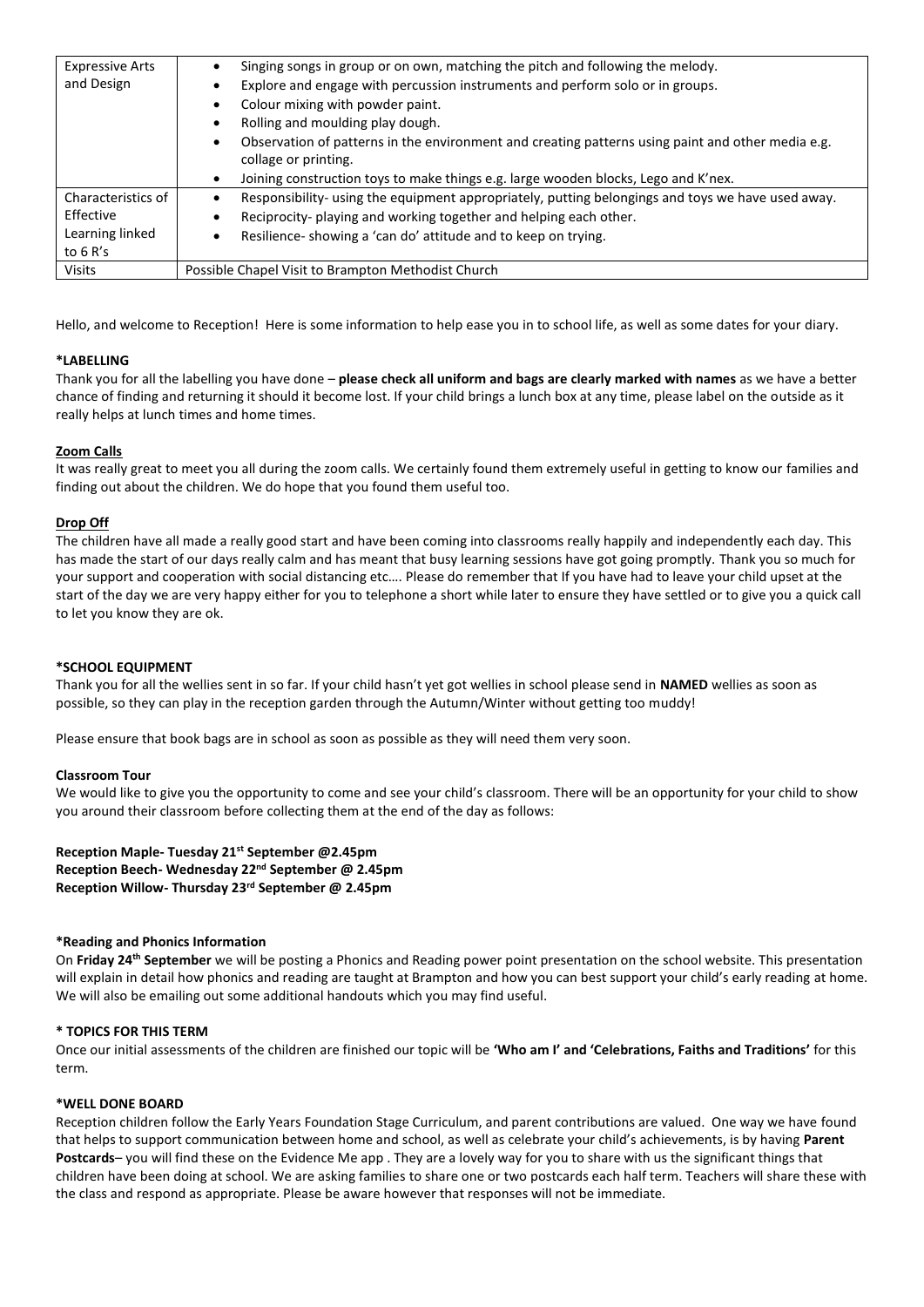| <b>Expressive Arts</b><br>and Design                             | Singing songs in group or on own, matching the pitch and following the melody.<br>Explore and engage with percussion instruments and perform solo or in groups.<br>Colour mixing with powder paint.<br>Rolling and moulding play dough.<br>Observation of patterns in the environment and creating patterns using paint and other media e.g.<br>collage or printing.<br>Joining construction toys to make things e.g. large wooden blocks, Lego and K'nex. |
|------------------------------------------------------------------|------------------------------------------------------------------------------------------------------------------------------------------------------------------------------------------------------------------------------------------------------------------------------------------------------------------------------------------------------------------------------------------------------------------------------------------------------------|
| Characteristics of<br>Effective<br>Learning linked<br>to $6 R's$ | Responsibility- using the equipment appropriately, putting belongings and toys we have used away.<br>Reciprocity- playing and working together and helping each other.<br>Resilience- showing a 'can do' attitude and to keep on trying.                                                                                                                                                                                                                   |
| <b>Visits</b>                                                    | Possible Chapel Visit to Brampton Methodist Church                                                                                                                                                                                                                                                                                                                                                                                                         |

Hello, and welcome to Reception! Here is some information to help ease you in to school life, as well as some dates for your diary.

## **\*LABELLING**

Thank you for all the labelling you have done – **please check all uniform and bags are clearly marked with names** as we have a better chance of finding and returning it should it become lost. If your child brings a lunch box at any time, please label on the outside as it really helps at lunch times and home times.

## **Zoom Calls**

It was really great to meet you all during the zoom calls. We certainly found them extremely useful in getting to know our families and finding out about the children. We do hope that you found them useful too.

## **Drop Off**

The children have all made a really good start and have been coming into classrooms really happily and independently each day. This has made the start of our days really calm and has meant that busy learning sessions have got going promptly. Thank you so much for your support and cooperation with social distancing etc…. Please do remember that If you have had to leave your child upset at the start of the day we are very happy either for you to telephone a short while later to ensure they have settled or to give you a quick call to let you know they are ok.

## **\*SCHOOL EQUIPMENT**

Thank you for all the wellies sent in so far. If your child hasn't yet got wellies in school please send in **NAMED** wellies as soon as possible, so they can play in the reception garden through the Autumn/Winter without getting too muddy!

Please ensure that book bags are in school as soon as possible as they will need them very soon.

#### **Classroom Tour**

We would like to give you the opportunity to come and see your child's classroom. There will be an opportunity for your child to show you around their classroom before collecting them at the end of the day as follows:

**Reception Maple- Tuesday 21st September @2.45pm Reception Beech- Wednesday 22nd September @ 2.45pm Reception Willow- Thursday 23rd September @ 2.45pm** 

#### **\*Reading and Phonics Information**

On Friday 24<sup>th</sup> September we will be posting a Phonics and Reading power point presentation on the school website. This presentation will explain in detail how phonics and reading are taught at Brampton and how you can best support your child's early reading at home. We will also be emailing out some additional handouts which you may find useful.

#### **\* TOPICS FOR THIS TERM**

Once our initial assessments of the children are finished our topic will be **'Who am I' and 'Celebrations, Faiths and Traditions'** for this term.

#### **\*WELL DONE BOARD**

Reception children follow the Early Years Foundation Stage Curriculum, and parent contributions are valued. One way we have found that helps to support communication between home and school, as well as celebrate your child's achievements, is by having **Parent Postcards**– you will find these on the Evidence Me app . They are a lovely way for you to share with us the significant things that children have been doing at school. We are asking families to share one or two postcards each half term. Teachers will share these with the class and respond as appropriate. Please be aware however that responses will not be immediate.